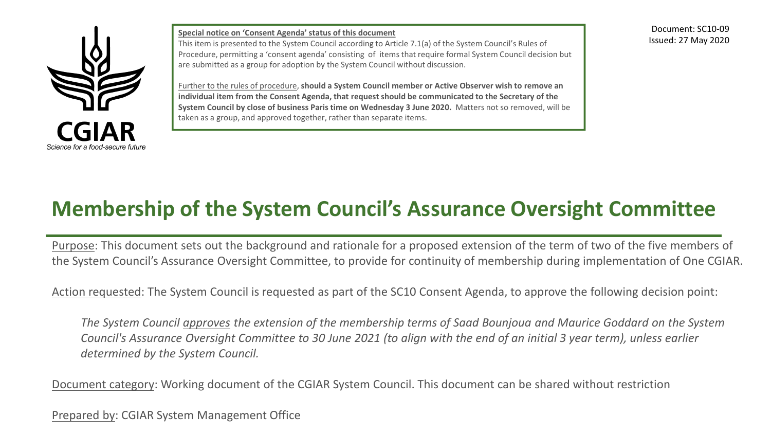

**Special notice on 'Consent Agenda' status of this document** This item is presented to the System Council according to Article 7.1(a) of the System Council's Rules of Procedure, permitting a 'consent agenda' consisting of items that require formal System Council decision but are submitted as a group for adoption by the System Council without discussion.

Further to the rules of procedure, **should a System Council member or Active Observer wish to remove an individual item from the Consent Agenda, that request should be communicated to the Secretary of the System Council by close of business Paris time on Wednesday 3 June 2020.** Matters not so removed, will be taken as a group, and approved together, rather than separate items.

Document: SC10-09 Issued: 27 May 2020

# **Membership of the System Council's Assurance Oversight Committee**

Purpose: This document sets out the background and rationale for a proposed extension of the term of two of the five members of the System Council's Assurance Oversight Committee, to provide for continuity of membership during implementation of One CGIAR.

Action requested: The System Council is requested as part of the SC10 Consent Agenda, to approve the following decision point:

*The System Council approves the extension of the membership terms of Saad Bounjoua and Maurice Goddard on the System Council's Assurance Oversight Committee to 30 June 2021 (to align with the end of an initial 3 year term), unless earlier determined by the System Council.*

Document category: Working document of the CGIAR System Council. This document can be shared without restriction

Prepared by: CGIAR System Management Office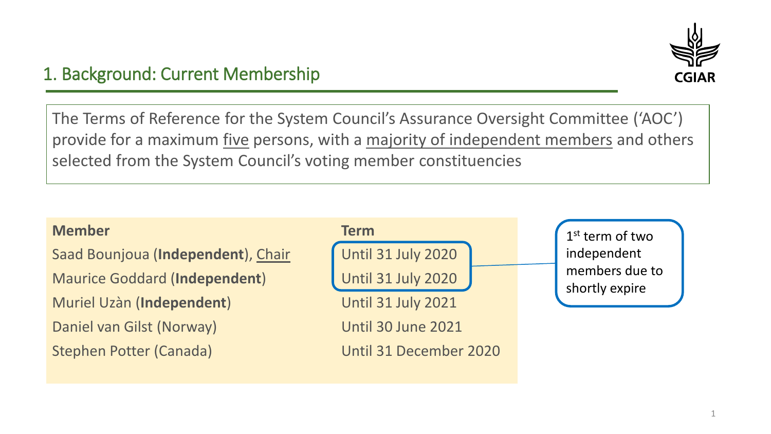

## 1. Background: Current Membership

The Terms of Reference for the System Council's Assurance Oversight Committee ('AOC') provide for a maximum five persons, with a majority of independent members and others selected from the System Council's voting member constituencies

Saad Bounjoua (**Independent**), Chair **Until 31 July 2020** Maurice Goddard (Independent) **Until 31 July 2020** Muriel Uzàn (**Independent**) Until 31 July 2021 Daniel van Gilst (Norway) Until 30 June 2021